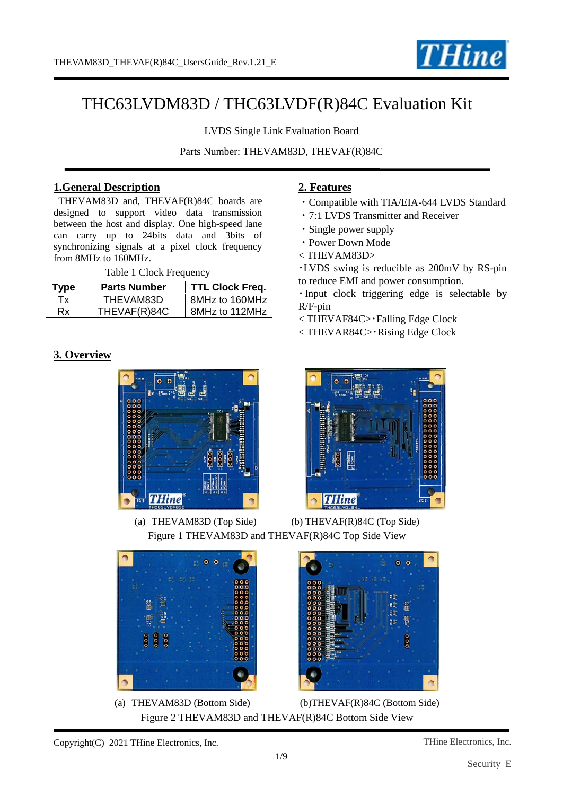

# THC63LVDM83D / THC63LVDF(R)84C Evaluation Kit

LVDS Single Link Evaluation Board

Parts Number: THEVAM83D, THEVAF(R)84C

## **1.General Description**

THEVAM83D and, THEVAF(R)84C boards are designed to support video data transmission between the host and display. One high-speed lane can carry up to 24bits data and 3bits of synchronizing signals at a pixel clock frequency from 8MHz to 160MHz.

Table 1 Clock Frequency

| Type | <b>Parts Number</b> | <b>TTL Clock Freq.</b> |
|------|---------------------|------------------------|
| Tх   | THEVAM83D           | 8MHz to 160MHz         |
| Rx   | THEVAF(R)84C        | 8MHz to 112MHz         |

## **3. Overview**



## **2. Features**

- ・Compatible with TIA/EIA-644 LVDS Standard
- ・7:1 LVDS Transmitter and Receiver
- ・Single power supply
- ・Power Down Mode
- < THEVAM83D>

・LVDS swing is reducible as 200mV by RS-pin to reduce EMI and power consumption.

・Input clock triggering edge is selectable by R/F-pin

< THEVAF84C>・Falling Edge Clock

< THEVAR84C>・Rising Edge Clock



 $0<sub>0</sub>$ 

80 80 Ë äo ies<br>Se

(a) THEVAM83D (Top Side) (b) THEVAF(R)84C (Top Side) Figure 1 THEVAM83D and THEVAF(R)84C Top Side View



(a) THEVAM83D (Bottom Side) (b)THEVAF(R)84C (Bottom Side) Figure 2 THEVAM83D and THEVAF(R)84C Bottom Side View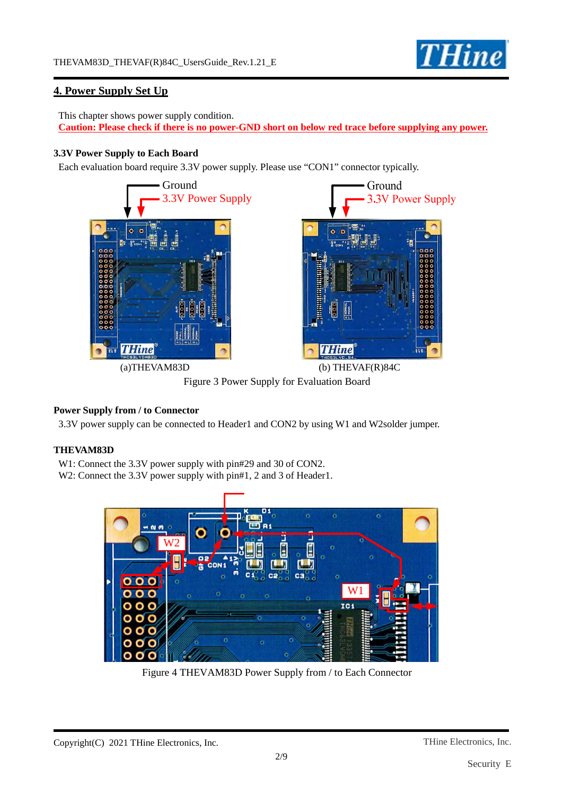

## **4. Power Supply Set Up**

This chapter shows power supply condition. **Caution: Please check if there is no power-GND short on below red trace before supplying any power.** 

#### **3.3V Power Supply to Each Board**

Each evaluation board require 3.3V power supply. Please use "CON1" connector typically.



Figure 3 Power Supply for Evaluation Board

### **Power Supply from / to Connector**

3.3V power supply can be connected to Header1 and CON2 by using W1 and W2solder jumper.

#### **THEVAM83D**

W1: Connect the 3.3V power supply with pin#29 and 30 of CON2.

W2: Connect the 3.3V power supply with pin#1, 2 and 3 of Header1.



Figure 4 THEVAM83D Power Supply from / to Each Connector

2/9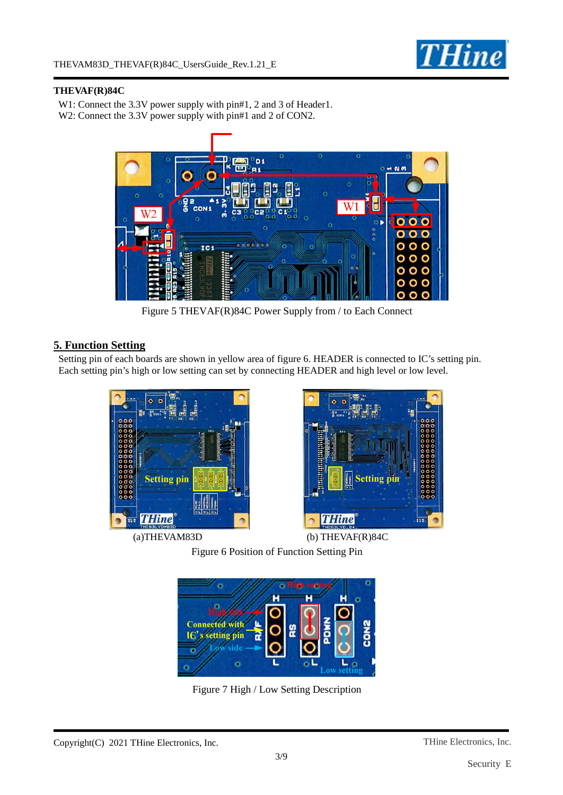

#### **THEVAF(R)84C**

W1: Connect the 3.3V power supply with pin#1, 2 and 3 of Header1. W2: Connect the 3.3V power supply with pin#1 and 2 of CON2.



Figure 5 THEVAF(R)84C Power Supply from / to Each Connect

## **5. Function Setting**

Setting pin of each boards are shown in yellow area of figure 6. HEADER is connected to IC's setting pin. Each setting pin's high or low setting can set by connecting HEADER and high level or low level.

![](_page_2_Picture_8.jpeg)

![](_page_2_Picture_10.jpeg)

(a)THEVAM83D (b) THEVAF(R)84C

Figure 6 Position of Function Setting Pin

![](_page_2_Picture_13.jpeg)

Figure 7 High / Low Setting Description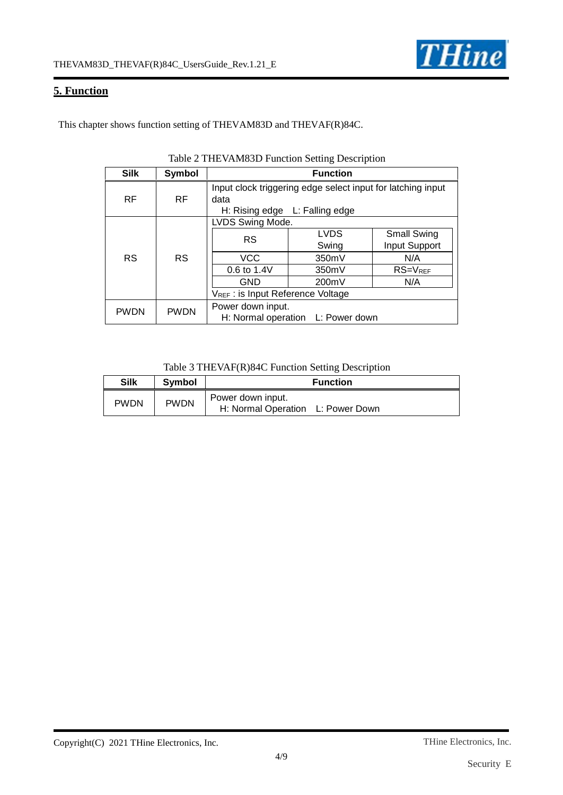## **5. Function**

This chapter shows function setting of THEVAM83D and THEVAF(R)84C.

| <b>Silk</b> | Symbol      | <b>Function</b>                                                                                       |                      |                              |  |
|-------------|-------------|-------------------------------------------------------------------------------------------------------|----------------------|------------------------------|--|
| <b>RF</b>   | <b>RF</b>   | Input clock triggering edge select input for latching input<br>data<br>H: Rising edge L: Falling edge |                      |                              |  |
| <b>RS</b>   | <b>RS</b>   | LVDS Swing Mode.                                                                                      |                      |                              |  |
|             |             | <b>RS</b>                                                                                             | <b>LVDS</b><br>Swing | Small Swing<br>Input Support |  |
|             |             | <b>VCC</b>                                                                                            | 350mV                | N/A                          |  |
|             |             | 0.6 to 1.4V                                                                                           | 350mV                | $RS=V_{REF}$                 |  |
|             |             | <b>GND</b>                                                                                            | 200mV                | N/A                          |  |
|             |             | VREF: is Input Reference Voltage                                                                      |                      |                              |  |
| <b>PWDN</b> | <b>PWDN</b> | Power down input.<br>H: Normal operation L: Power down                                                |                      |                              |  |

### Table 2 THEVAM83D Function Setting Description

#### Table 3 THEVAF(R)84C Function Setting Description

| <b>Silk</b> | <b>Symbol</b> | <b>Function</b>                                        |  |  |
|-------------|---------------|--------------------------------------------------------|--|--|
| <b>PWDN</b> | <b>PWDN</b>   | Power down input.<br>H: Normal Operation L: Power Down |  |  |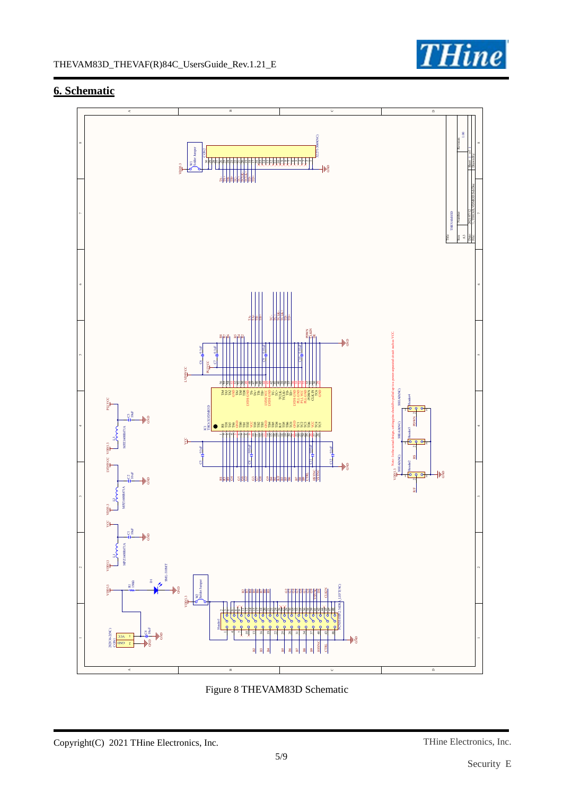![](_page_4_Picture_0.jpeg)

## **6. Schematic**

![](_page_4_Figure_3.jpeg)

Figure 8 THEVAM83D Schematic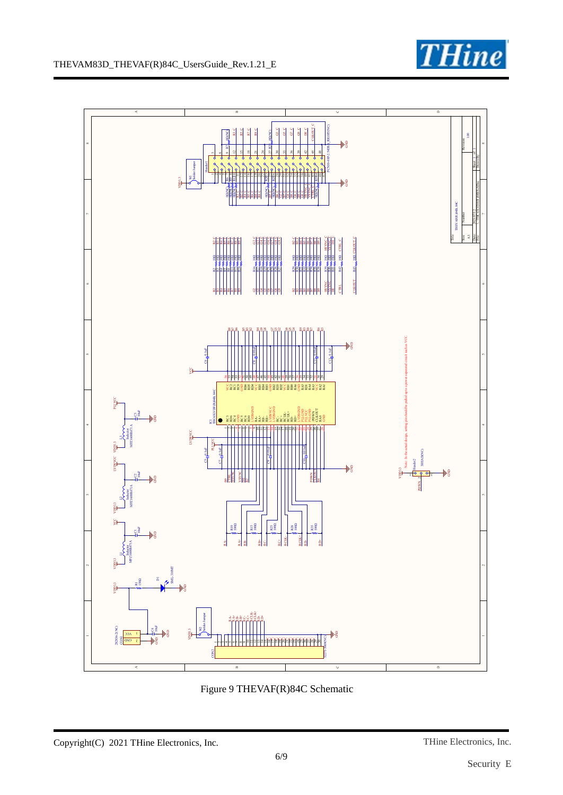![](_page_5_Picture_0.jpeg)

![](_page_5_Figure_2.jpeg)

Figure 9 THEVAF(R)84C Schematic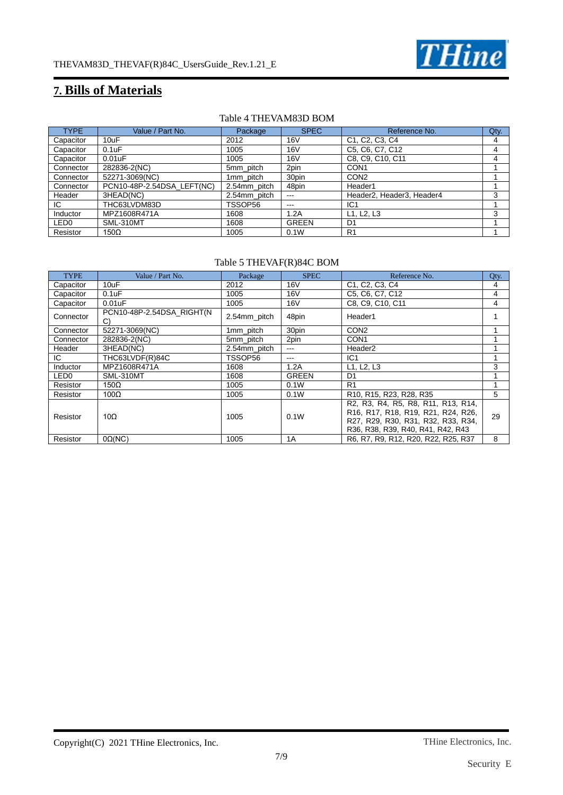![](_page_6_Picture_0.jpeg)

## **7. Bills of Materials**

#### Table 4 THEVAM83D BOM

| <b>TYPE</b>      | Value / Part No.           | Package      | <b>SPEC</b>  | Reference No.                                                     | Qty. |
|------------------|----------------------------|--------------|--------------|-------------------------------------------------------------------|------|
| Capacitor        | 10uF                       | 2012         | 16V          | C <sub>1</sub> , C <sub>2</sub> , C <sub>3</sub> , C <sub>4</sub> | 4    |
| Capacitor        | $0.1$ u $F$                | 1005         | 16V          | C5, C6, C7, C12                                                   | 4    |
| Capacitor        | $0.01$ u $F$               | 1005         | 16V          | C8, C9, C10, C11                                                  | 4    |
| Connector        | 282836-2(NC)               | 5mm pitch    | 2pin         | CON <sub>1</sub>                                                  |      |
| Connector        | 52271-3069(NC)             | 1mm_pitch    | 30pin        | CON <sub>2</sub>                                                  |      |
| Connector        | PCN10-48P-2.54DSA LEFT(NC) | 2.54mm_pitch | 48pin        | Header1                                                           |      |
| Header           | 3HEAD(NC)                  | 2.54mm pitch | $- - -$      | Header2, Header3, Header4                                         | 3    |
| IC.              | THC63LVDM83D               | TSSOP56      | $- - -$      | IC <sub>1</sub>                                                   |      |
| Inductor         | MPZ1608R471A               | 1608         | 1.2A         | L1, L2, L3                                                        | 3    |
| LED <sub>0</sub> | SML-310MT                  | 1608         | <b>GREEN</b> | D <sub>1</sub>                                                    |      |
| Resistor         | $150\Omega$                | 1005         | 0.1W         | R <sub>1</sub>                                                    |      |

#### Table 5 THEVAF(R)84C BOM

| <b>TYPE</b>      | Value / Part No.                | Package      | <b>SPEC</b>     | Reference No.                                                                                                                                       | Qty. |
|------------------|---------------------------------|--------------|-----------------|-----------------------------------------------------------------------------------------------------------------------------------------------------|------|
| Capacitor        | 10uF                            | 2012         | 16 <sub>V</sub> | C1, C2, C3, C4                                                                                                                                      | 4    |
| Capacitor        | $0.1$ u $F$                     | 1005         | 16V             | C5, C6, C7, C12                                                                                                                                     | 4    |
| Capacitor        | 0.01uF                          | 1005         | 16 <sub>V</sub> | C8, C9, C10, C11                                                                                                                                    | 4    |
| Connector        | PCN10-48P-2.54DSA_RIGHT(N<br>C) | 2.54mm_pitch | 48pin           | Header1                                                                                                                                             |      |
| Connector        | 52271-3069(NC)                  | 1mm_pitch    | 30pin           | CON <sub>2</sub>                                                                                                                                    |      |
| Connector        | 282836-2(NC)                    | 5mm pitch    | 2pin            | CON <sub>1</sub>                                                                                                                                    |      |
| Header           | 3HEAD(NC)                       | 2.54mm pitch | $- - -$         | Header <sub>2</sub>                                                                                                                                 |      |
| IC.              | THC63LVDF(R)84C                 | TSSOP56      | ---             | IC1                                                                                                                                                 |      |
| Inductor         | MPZ1608R471A                    | 1608         | 1.2A            | L1, L2, L3                                                                                                                                          | 3    |
| LED <sub>0</sub> | SML-310MT                       | 1608         | <b>GREEN</b>    | D <sub>1</sub>                                                                                                                                      |      |
| Resistor         | $150\Omega$                     | 1005         | 0.1W            | R <sub>1</sub>                                                                                                                                      |      |
| Resistor         | $100\Omega$                     | 1005         | 0.1W            | R10, R15, R23, R28, R35                                                                                                                             | 5    |
| Resistor         | 10 $\Omega$                     | 1005         | 0.1W            | R2, R3, R4, R5, R8, R11, R13, R14,<br>R16, R17, R18, R19, R21, R24, R26,<br>R27, R29, R30, R31, R32, R33, R34,<br>R36, R38, R39, R40, R41, R42, R43 | 29   |
| Resistor         | $0\Omega(NC)$                   | 1005         | 1A              | R6, R7, R9, R12, R20, R22, R25, R37                                                                                                                 | 8    |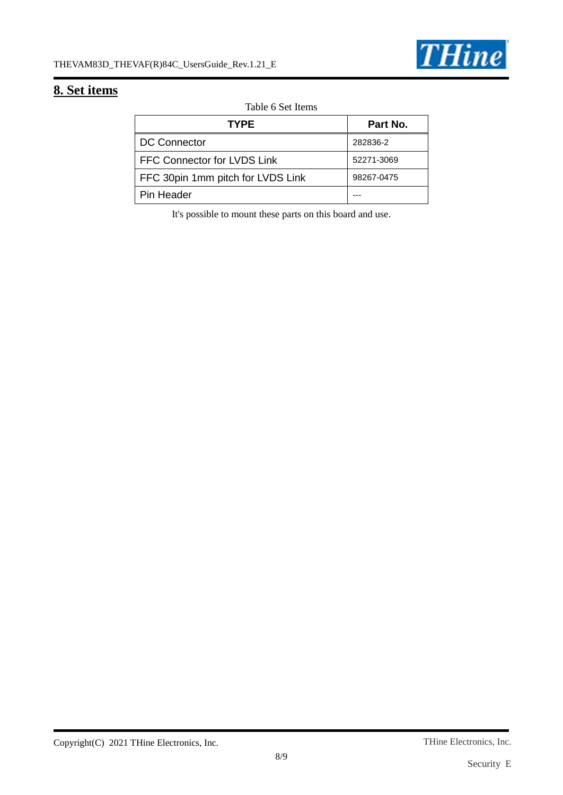![](_page_7_Picture_1.jpeg)

## **8. Set items**

Table 6 Set Items

| <b>TYPE</b>                       | Part No.   |
|-----------------------------------|------------|
| <b>DC Connector</b>               | 282836-2   |
| FFC Connector for LVDS Link       | 52271-3069 |
| FFC 30pin 1mm pitch for LVDS Link | 98267-0475 |
| Pin Header                        |            |

It's possible to mount these parts on this board and use.

Copyright(C) 2021 THine Electronics, Inc.